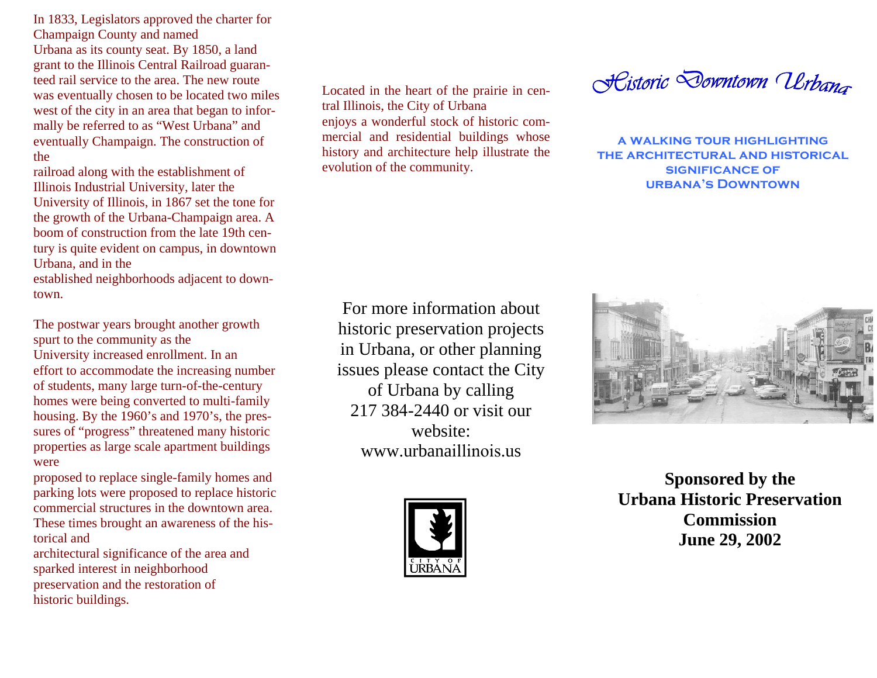In 1833, Legislators approved the charter for Champaign County and named Urbana as its county seat. By 1850, a land grant to the Illinois Central Railroad guaranteed rail service to the area. The new route was eventually chosen to be located two miles west of the city in an area that began to informally be referred to as "West Urbana" and eventually Champaign. The construction of the

railroad along with the establishment of Illinois Industrial University, later the University of Illinois, in 1867 set the tone for the growth of the Urbana-Champaign area. A boom of construction from the late 19th century is quite evident on campus, in downtown Urbana, and in the

established neighborhoods adjacent to downtown.

The postwar years brought another growth spurt to the community as the University increased enrollment. In an effort to accommodate the increasing number of students, many large turn-of-the-century homes were being converted to multi-family housing. By the 1960's and 1970's, the pressures of "progress" threatened many historic properties as large scale apartment buildings were

proposed to replace single-family homes and parking lots were proposed to replace historic commercial structures in the downtown area. These times brought an awareness of the historical and

architectural significance of the area and sparked interest in neighborhood preservation and the restoration of historic buildings.

Located in the heart of the prairie in central Illinois, the City of Urbana enjoys a wonderful stock of historic commercial and residential buildings whose history and architecture help illustrate the evolution of the community.

<del>SC</del>istoric Downtown Urbanz

**a walking tour highlighting the architectural and historical significance of urbana's Downtown** 

For more information abouthistoric preservation projects in Urbana, or other planning issues please contact the City of Urbana by calling 217 384-2440 or visit our website: www.urbanaillinois.us





**Sponsored by the Urbana Historic Preservation Commission June 29, 2002**